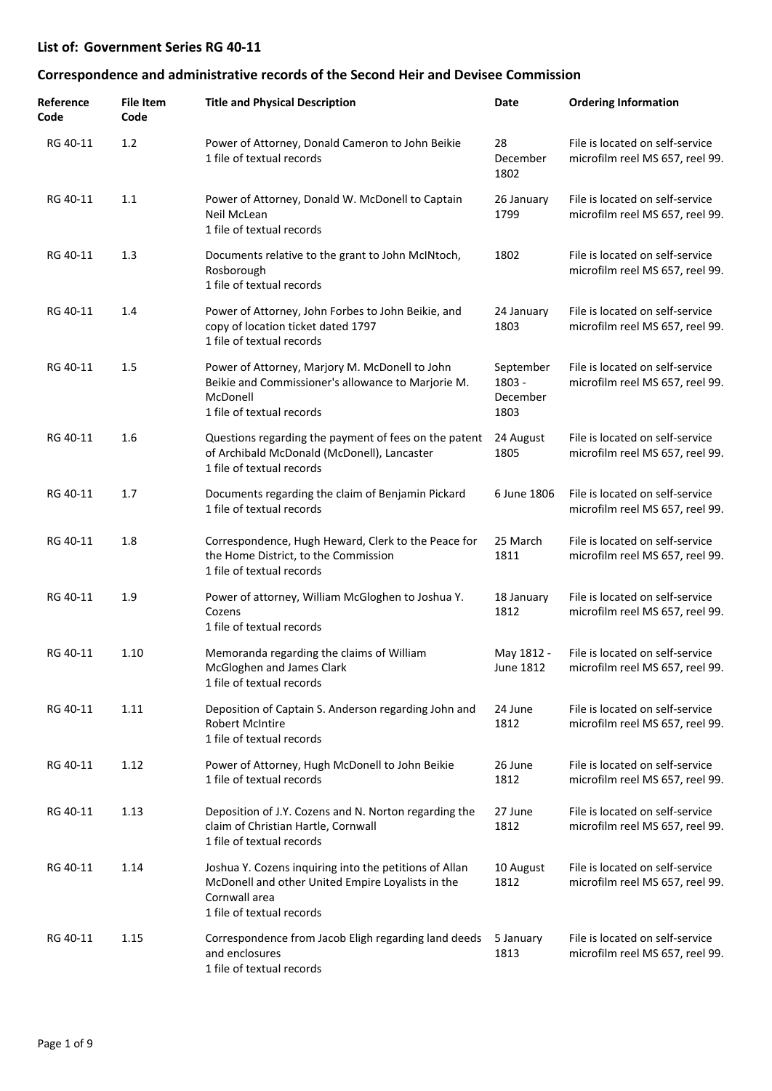| Reference<br>Code | <b>File Item</b><br>Code | <b>Title and Physical Description</b>                                                                                                                     | Date                                    | <b>Ordering Information</b>                                        |
|-------------------|--------------------------|-----------------------------------------------------------------------------------------------------------------------------------------------------------|-----------------------------------------|--------------------------------------------------------------------|
| RG 40-11          | 1.2                      | Power of Attorney, Donald Cameron to John Beikie<br>1 file of textual records                                                                             | 28<br>December<br>1802                  | File is located on self-service<br>microfilm reel MS 657, reel 99. |
| RG 40-11          | 1.1                      | Power of Attorney, Donald W. McDonell to Captain<br>Neil McLean<br>1 file of textual records                                                              | 26 January<br>1799                      | File is located on self-service<br>microfilm reel MS 657, reel 99. |
| RG 40-11          | 1.3                      | Documents relative to the grant to John McINtoch,<br>Rosborough<br>1 file of textual records                                                              | 1802                                    | File is located on self-service<br>microfilm reel MS 657, reel 99. |
| RG 40-11          | 1.4                      | Power of Attorney, John Forbes to John Beikie, and<br>copy of location ticket dated 1797<br>1 file of textual records                                     | 24 January<br>1803                      | File is located on self-service<br>microfilm reel MS 657, reel 99. |
| RG 40-11          | 1.5                      | Power of Attorney, Marjory M. McDonell to John<br>Beikie and Commissioner's allowance to Marjorie M.<br>McDonell<br>1 file of textual records             | September<br>1803 -<br>December<br>1803 | File is located on self-service<br>microfilm reel MS 657, reel 99. |
| RG 40-11          | 1.6                      | Questions regarding the payment of fees on the patent<br>of Archibald McDonald (McDonell), Lancaster<br>1 file of textual records                         | 24 August<br>1805                       | File is located on self-service<br>microfilm reel MS 657, reel 99. |
| RG 40-11          | 1.7                      | Documents regarding the claim of Benjamin Pickard<br>1 file of textual records                                                                            | 6 June 1806                             | File is located on self-service<br>microfilm reel MS 657, reel 99. |
| RG 40-11          | 1.8                      | Correspondence, Hugh Heward, Clerk to the Peace for<br>the Home District, to the Commission<br>1 file of textual records                                  | 25 March<br>1811                        | File is located on self-service<br>microfilm reel MS 657, reel 99. |
| RG 40-11          | 1.9                      | Power of attorney, William McGloghen to Joshua Y.<br>Cozens<br>1 file of textual records                                                                  | 18 January<br>1812                      | File is located on self-service<br>microfilm reel MS 657, reel 99. |
| RG 40-11          | 1.10                     | Memoranda regarding the claims of William<br>McGloghen and James Clark<br>1 file of textual records                                                       | May 1812 -<br>June 1812                 | File is located on self-service<br>microfilm reel MS 657, reel 99. |
| RG 40-11          | 1.11                     | Deposition of Captain S. Anderson regarding John and<br><b>Robert McIntire</b><br>1 file of textual records                                               | 24 June<br>1812                         | File is located on self-service<br>microfilm reel MS 657, reel 99. |
| RG 40-11          | 1.12                     | Power of Attorney, Hugh McDonell to John Beikie<br>1 file of textual records                                                                              | 26 June<br>1812                         | File is located on self-service<br>microfilm reel MS 657, reel 99. |
| RG 40-11          | 1.13                     | Deposition of J.Y. Cozens and N. Norton regarding the<br>claim of Christian Hartle, Cornwall<br>1 file of textual records                                 | 27 June<br>1812                         | File is located on self-service<br>microfilm reel MS 657, reel 99. |
| RG 40-11          | 1.14                     | Joshua Y. Cozens inquiring into the petitions of Allan<br>McDonell and other United Empire Loyalists in the<br>Cornwall area<br>1 file of textual records | 10 August<br>1812                       | File is located on self-service<br>microfilm reel MS 657, reel 99. |
| RG 40-11          | 1.15                     | Correspondence from Jacob Eligh regarding land deeds<br>and enclosures<br>1 file of textual records                                                       | 5 January<br>1813                       | File is located on self-service<br>microfilm reel MS 657, reel 99. |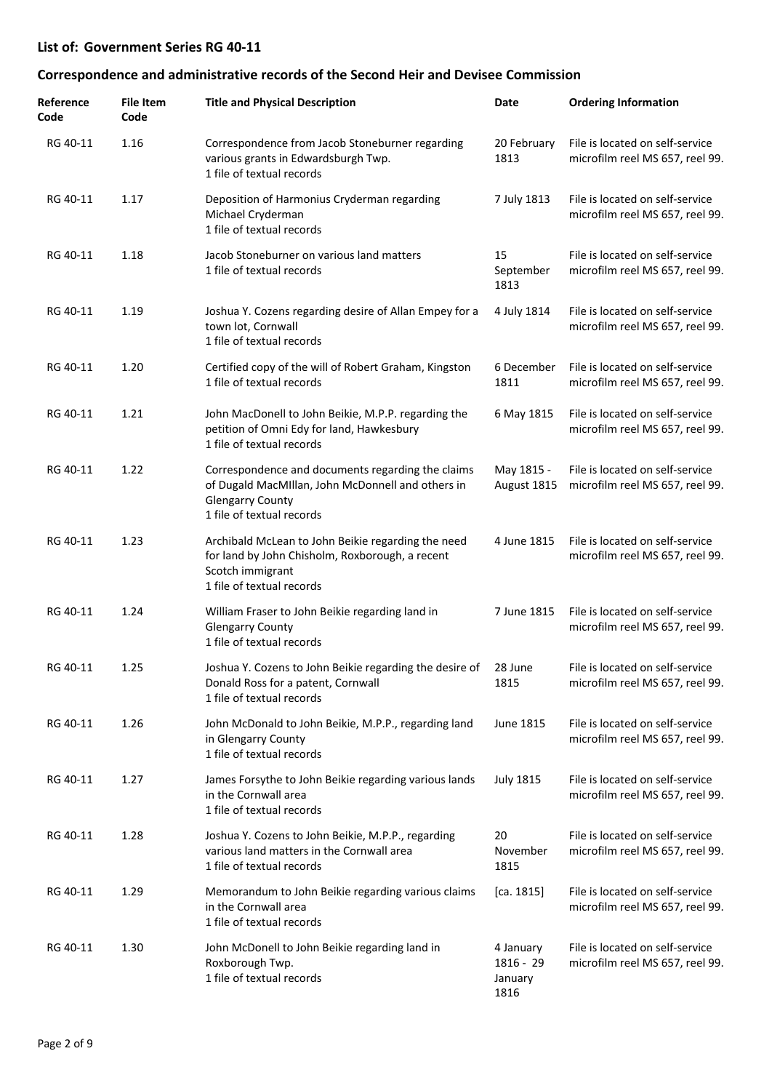| Reference<br>Code | <b>File Item</b><br>Code | <b>Title and Physical Description</b>                                                                                                                          | Date                                        | <b>Ordering Information</b>                                        |
|-------------------|--------------------------|----------------------------------------------------------------------------------------------------------------------------------------------------------------|---------------------------------------------|--------------------------------------------------------------------|
| RG 40-11          | 1.16                     | Correspondence from Jacob Stoneburner regarding<br>various grants in Edwardsburgh Twp.<br>1 file of textual records                                            | 20 February<br>1813                         | File is located on self-service<br>microfilm reel MS 657, reel 99. |
| RG 40-11          | 1.17                     | Deposition of Harmonius Cryderman regarding<br>Michael Cryderman<br>1 file of textual records                                                                  | 7 July 1813                                 | File is located on self-service<br>microfilm reel MS 657, reel 99. |
| RG 40-11          | 1.18                     | Jacob Stoneburner on various land matters<br>1 file of textual records                                                                                         | 15<br>September<br>1813                     | File is located on self-service<br>microfilm reel MS 657, reel 99. |
| RG 40-11          | 1.19                     | Joshua Y. Cozens regarding desire of Allan Empey for a<br>town lot, Cornwall<br>1 file of textual records                                                      | 4 July 1814                                 | File is located on self-service<br>microfilm reel MS 657, reel 99. |
| RG 40-11          | 1.20                     | Certified copy of the will of Robert Graham, Kingston<br>1 file of textual records                                                                             | 6 December<br>1811                          | File is located on self-service<br>microfilm reel MS 657, reel 99. |
| RG 40-11          | 1.21                     | John MacDonell to John Beikie, M.P.P. regarding the<br>petition of Omni Edy for land, Hawkesbury<br>1 file of textual records                                  | 6 May 1815                                  | File is located on self-service<br>microfilm reel MS 657, reel 99. |
| RG 40-11          | 1.22                     | Correspondence and documents regarding the claims<br>of Dugald MacMillan, John McDonnell and others in<br><b>Glengarry County</b><br>1 file of textual records | May 1815 -<br>August 1815                   | File is located on self-service<br>microfilm reel MS 657, reel 99. |
| RG 40-11          | 1.23                     | Archibald McLean to John Beikie regarding the need<br>for land by John Chisholm, Roxborough, a recent<br>Scotch immigrant<br>1 file of textual records         | 4 June 1815                                 | File is located on self-service<br>microfilm reel MS 657, reel 99. |
| RG 40-11          | 1.24                     | William Fraser to John Beikie regarding land in<br><b>Glengarry County</b><br>1 file of textual records                                                        | 7 June 1815                                 | File is located on self-service<br>microfilm reel MS 657, reel 99. |
| RG 40-11          | 1.25                     | Joshua Y. Cozens to John Beikie regarding the desire of 28 June<br>Donald Ross for a patent, Cornwall<br>1 file of textual records                             | 1815                                        | File is located on self-service<br>microfilm reel MS 657, reel 99. |
| RG 40-11          | 1.26                     | John McDonald to John Beikie, M.P.P., regarding land<br>in Glengarry County<br>1 file of textual records                                                       | June 1815                                   | File is located on self-service<br>microfilm reel MS 657, reel 99. |
| RG 40-11          | 1.27                     | James Forsythe to John Beikie regarding various lands<br>in the Cornwall area<br>1 file of textual records                                                     | <b>July 1815</b>                            | File is located on self-service<br>microfilm reel MS 657, reel 99. |
| RG 40-11          | 1.28                     | Joshua Y. Cozens to John Beikie, M.P.P., regarding<br>various land matters in the Cornwall area<br>1 file of textual records                                   | 20<br>November<br>1815                      | File is located on self-service<br>microfilm reel MS 657, reel 99. |
| RG 40-11          | 1.29                     | Memorandum to John Beikie regarding various claims<br>in the Cornwall area<br>1 file of textual records                                                        | [ca. 1815]                                  | File is located on self-service<br>microfilm reel MS 657, reel 99. |
| RG 40-11          | 1.30                     | John McDonell to John Beikie regarding land in<br>Roxborough Twp.<br>1 file of textual records                                                                 | 4 January<br>$1816 - 29$<br>January<br>1816 | File is located on self-service<br>microfilm reel MS 657, reel 99. |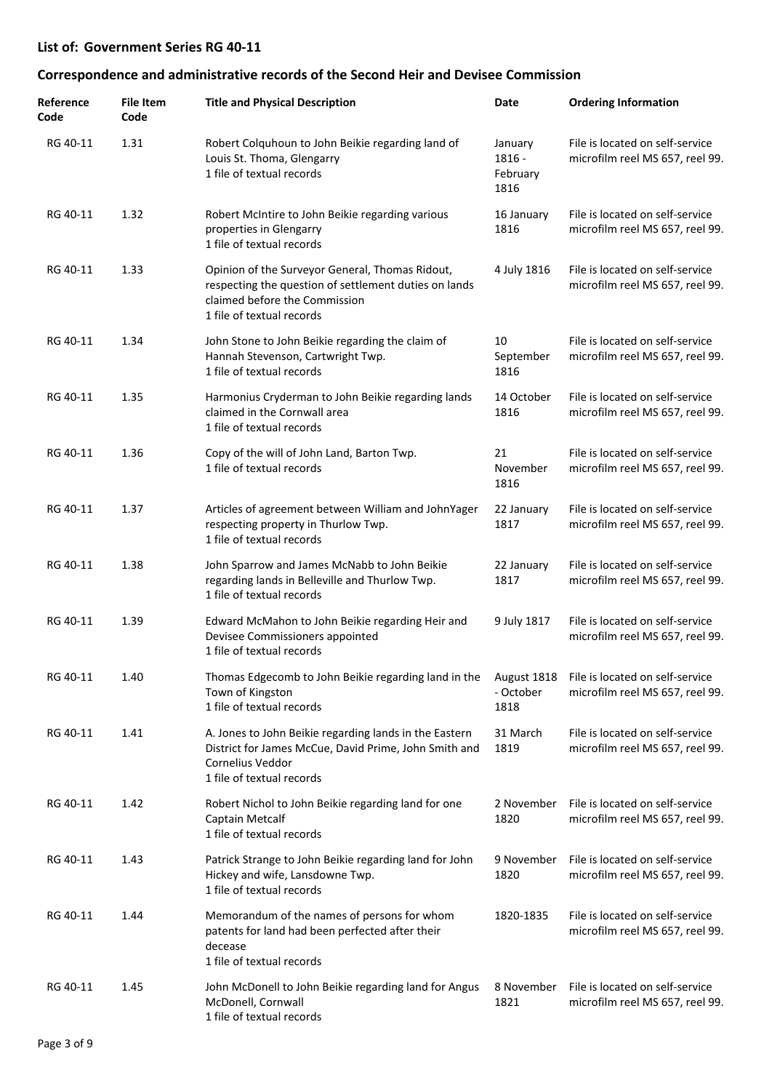| Reference<br>Code | <b>File Item</b><br>Code | <b>Title and Physical Description</b>                                                                                                                                   | Date                                  | <b>Ordering Information</b>                                        |
|-------------------|--------------------------|-------------------------------------------------------------------------------------------------------------------------------------------------------------------------|---------------------------------------|--------------------------------------------------------------------|
| RG 40-11          | 1.31                     | Robert Colquhoun to John Beikie regarding land of<br>Louis St. Thoma, Glengarry<br>1 file of textual records                                                            | January<br>1816 -<br>February<br>1816 | File is located on self-service<br>microfilm reel MS 657, reel 99. |
| RG 40-11          | 1.32                     | Robert McIntire to John Beikie regarding various<br>properties in Glengarry<br>1 file of textual records                                                                | 16 January<br>1816                    | File is located on self-service<br>microfilm reel MS 657, reel 99. |
| RG 40-11          | 1.33                     | Opinion of the Surveyor General, Thomas Ridout,<br>respecting the question of settlement duties on lands<br>claimed before the Commission<br>1 file of textual records  | 4 July 1816                           | File is located on self-service<br>microfilm reel MS 657, reel 99. |
| RG 40-11          | 1.34                     | John Stone to John Beikie regarding the claim of<br>Hannah Stevenson, Cartwright Twp.<br>1 file of textual records                                                      | 10<br>September<br>1816               | File is located on self-service<br>microfilm reel MS 657, reel 99. |
| RG 40-11          | 1.35                     | Harmonius Cryderman to John Beikie regarding lands<br>claimed in the Cornwall area<br>1 file of textual records                                                         | 14 October<br>1816                    | File is located on self-service<br>microfilm reel MS 657, reel 99. |
| RG 40-11          | 1.36                     | Copy of the will of John Land, Barton Twp.<br>1 file of textual records                                                                                                 | 21<br>November<br>1816                | File is located on self-service<br>microfilm reel MS 657, reel 99. |
| RG 40-11          | 1.37                     | Articles of agreement between William and JohnYager<br>respecting property in Thurlow Twp.<br>1 file of textual records                                                 | 22 January<br>1817                    | File is located on self-service<br>microfilm reel MS 657, reel 99. |
| RG 40-11          | 1.38                     | John Sparrow and James McNabb to John Beikie<br>regarding lands in Belleville and Thurlow Twp.<br>1 file of textual records                                             | 22 January<br>1817                    | File is located on self-service<br>microfilm reel MS 657, reel 99. |
| RG 40-11          | 1.39                     | Edward McMahon to John Beikie regarding Heir and<br>Devisee Commissioners appointed<br>1 file of textual records                                                        | 9 July 1817                           | File is located on self-service<br>microfilm reel MS 657, reel 99. |
| RG 40-11          | 1.40                     | Thomas Edgecomb to John Beikie regarding land in the<br>Town of Kingston<br>1 file of textual records                                                                   | August 1818<br>- October<br>1818      | File is located on self-service<br>microfilm reel MS 657, reel 99. |
| RG 40-11          | 1.41                     | A. Jones to John Beikie regarding lands in the Eastern<br>District for James McCue, David Prime, John Smith and<br><b>Cornelius Veddor</b><br>1 file of textual records | 31 March<br>1819                      | File is located on self-service<br>microfilm reel MS 657, reel 99. |
| RG 40-11          | 1.42                     | Robert Nichol to John Beikie regarding land for one<br>Captain Metcalf<br>1 file of textual records                                                                     | 2 November<br>1820                    | File is located on self-service<br>microfilm reel MS 657, reel 99. |
| RG 40-11          | 1.43                     | Patrick Strange to John Beikie regarding land for John<br>Hickey and wife, Lansdowne Twp.<br>1 file of textual records                                                  | 9 November<br>1820                    | File is located on self-service<br>microfilm reel MS 657, reel 99. |
| RG 40-11          | 1.44                     | Memorandum of the names of persons for whom<br>patents for land had been perfected after their<br>decease<br>1 file of textual records                                  | 1820-1835                             | File is located on self-service<br>microfilm reel MS 657, reel 99. |
| RG 40-11          | 1.45                     | John McDonell to John Beikie regarding land for Angus<br>McDonell, Cornwall<br>1 file of textual records                                                                | 8 November<br>1821                    | File is located on self-service<br>microfilm reel MS 657, reel 99. |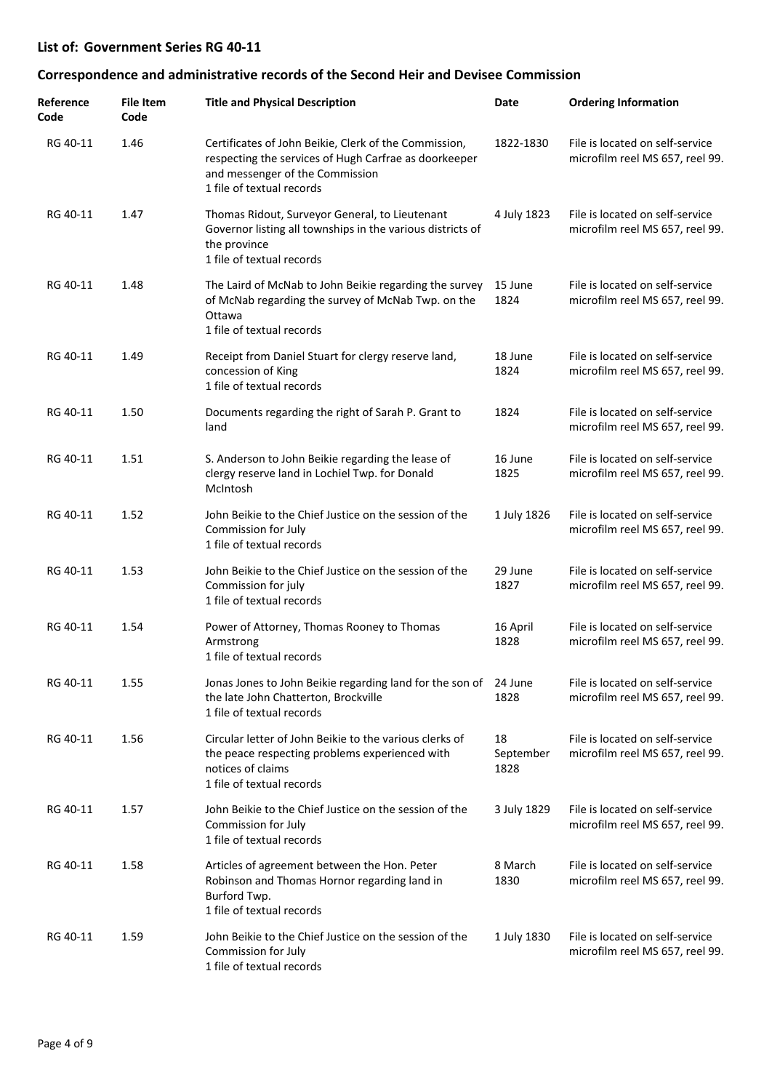| Reference<br>Code | <b>File Item</b><br>Code | <b>Title and Physical Description</b>                                                                                                                                          | Date                    | <b>Ordering Information</b>                                        |
|-------------------|--------------------------|--------------------------------------------------------------------------------------------------------------------------------------------------------------------------------|-------------------------|--------------------------------------------------------------------|
| RG 40-11          | 1.46                     | Certificates of John Beikie, Clerk of the Commission,<br>respecting the services of Hugh Carfrae as doorkeeper<br>and messenger of the Commission<br>1 file of textual records | 1822-1830               | File is located on self-service<br>microfilm reel MS 657, reel 99. |
| RG 40-11          | 1.47                     | Thomas Ridout, Surveyor General, to Lieutenant<br>Governor listing all townships in the various districts of<br>the province<br>1 file of textual records                      | 4 July 1823             | File is located on self-service<br>microfilm reel MS 657, reel 99. |
| RG 40-11          | 1.48                     | The Laird of McNab to John Beikie regarding the survey<br>of McNab regarding the survey of McNab Twp. on the<br>Ottawa<br>1 file of textual records                            | 15 June<br>1824         | File is located on self-service<br>microfilm reel MS 657, reel 99. |
| RG 40-11          | 1.49                     | Receipt from Daniel Stuart for clergy reserve land,<br>concession of King<br>1 file of textual records                                                                         | 18 June<br>1824         | File is located on self-service<br>microfilm reel MS 657, reel 99. |
| RG 40-11          | 1.50                     | Documents regarding the right of Sarah P. Grant to<br>land                                                                                                                     | 1824                    | File is located on self-service<br>microfilm reel MS 657, reel 99. |
| RG 40-11          | 1.51                     | S. Anderson to John Beikie regarding the lease of<br>clergy reserve land in Lochiel Twp. for Donald<br>McIntosh                                                                | 16 June<br>1825         | File is located on self-service<br>microfilm reel MS 657, reel 99. |
| RG 40-11          | 1.52                     | John Beikie to the Chief Justice on the session of the<br>Commission for July<br>1 file of textual records                                                                     | 1 July 1826             | File is located on self-service<br>microfilm reel MS 657, reel 99. |
| RG 40-11          | 1.53                     | John Beikie to the Chief Justice on the session of the<br>Commission for july<br>1 file of textual records                                                                     | 29 June<br>1827         | File is located on self-service<br>microfilm reel MS 657, reel 99. |
| RG 40-11          | 1.54                     | Power of Attorney, Thomas Rooney to Thomas<br>Armstrong<br>1 file of textual records                                                                                           | 16 April<br>1828        | File is located on self-service<br>microfilm reel MS 657, reel 99. |
| RG 40-11          | 1.55                     | Jonas Jones to John Beikie regarding land for the son of<br>the late John Chatterton, Brockville<br>1 file of textual records                                                  | 24 June<br>1828         | File is located on self-service<br>microfilm reel MS 657, reel 99. |
| RG 40-11          | 1.56                     | Circular letter of John Beikie to the various clerks of<br>the peace respecting problems experienced with<br>notices of claims<br>1 file of textual records                    | 18<br>September<br>1828 | File is located on self-service<br>microfilm reel MS 657, reel 99. |
| RG 40-11          | 1.57                     | John Beikie to the Chief Justice on the session of the<br>Commission for July<br>1 file of textual records                                                                     | 3 July 1829             | File is located on self-service<br>microfilm reel MS 657, reel 99. |
| RG 40-11          | 1.58                     | Articles of agreement between the Hon. Peter<br>Robinson and Thomas Hornor regarding land in<br>Burford Twp.<br>1 file of textual records                                      | 8 March<br>1830         | File is located on self-service<br>microfilm reel MS 657, reel 99. |
| RG 40-11          | 1.59                     | John Beikie to the Chief Justice on the session of the<br>Commission for July<br>1 file of textual records                                                                     | 1 July 1830             | File is located on self-service<br>microfilm reel MS 657, reel 99. |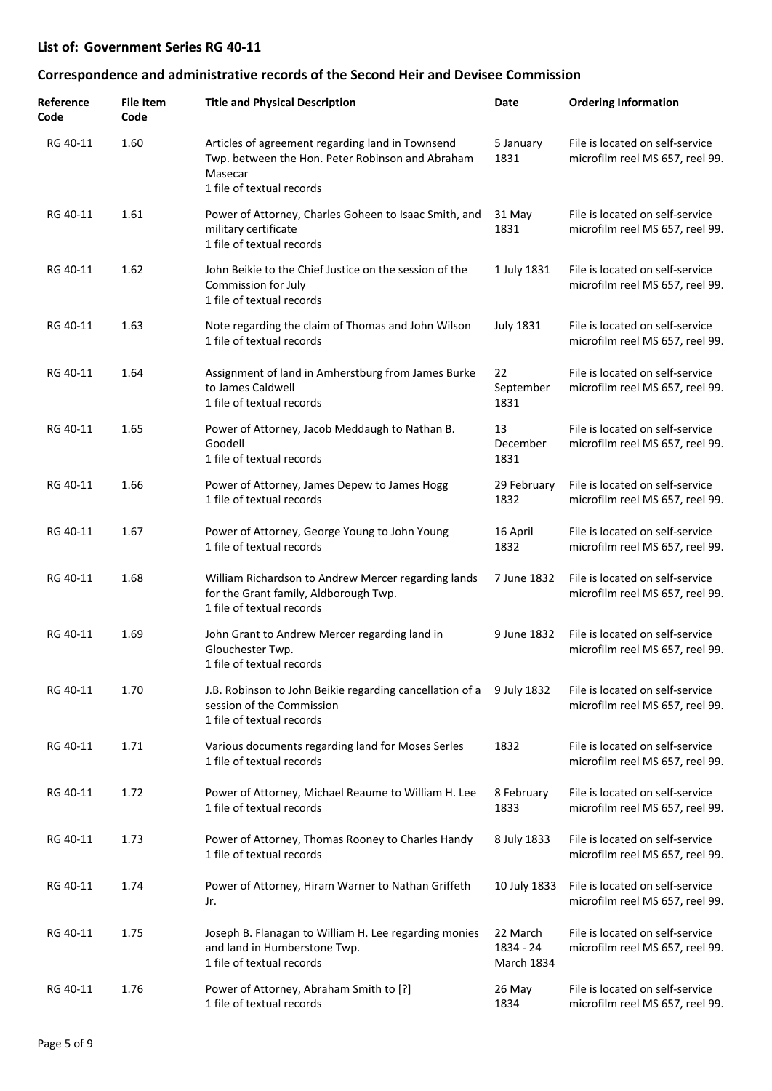| Reference<br>Code | <b>File Item</b><br>Code | <b>Title and Physical Description</b>                                                                                                        | Date                                       | <b>Ordering Information</b>                                        |
|-------------------|--------------------------|----------------------------------------------------------------------------------------------------------------------------------------------|--------------------------------------------|--------------------------------------------------------------------|
| RG 40-11          | 1.60                     | Articles of agreement regarding land in Townsend<br>Twp. between the Hon. Peter Robinson and Abraham<br>Masecar<br>1 file of textual records | 5 January<br>1831                          | File is located on self-service<br>microfilm reel MS 657, reel 99. |
| RG 40-11          | 1.61                     | Power of Attorney, Charles Goheen to Isaac Smith, and<br>military certificate<br>1 file of textual records                                   | 31 May<br>1831                             | File is located on self-service<br>microfilm reel MS 657, reel 99. |
| RG 40-11          | 1.62                     | John Beikie to the Chief Justice on the session of the<br>Commission for July<br>1 file of textual records                                   | 1 July 1831                                | File is located on self-service<br>microfilm reel MS 657, reel 99. |
| RG 40-11          | 1.63                     | Note regarding the claim of Thomas and John Wilson<br>1 file of textual records                                                              | <b>July 1831</b>                           | File is located on self-service<br>microfilm reel MS 657, reel 99. |
| RG 40-11          | 1.64                     | Assignment of land in Amherstburg from James Burke<br>to James Caldwell<br>1 file of textual records                                         | 22<br>September<br>1831                    | File is located on self-service<br>microfilm reel MS 657, reel 99. |
| RG 40-11          | 1.65                     | Power of Attorney, Jacob Meddaugh to Nathan B.<br>Goodell<br>1 file of textual records                                                       | 13<br>December<br>1831                     | File is located on self-service<br>microfilm reel MS 657, reel 99. |
| RG 40-11          | 1.66                     | Power of Attorney, James Depew to James Hogg<br>1 file of textual records                                                                    | 29 February<br>1832                        | File is located on self-service<br>microfilm reel MS 657, reel 99. |
| RG 40-11          | 1.67                     | Power of Attorney, George Young to John Young<br>1 file of textual records                                                                   | 16 April<br>1832                           | File is located on self-service<br>microfilm reel MS 657, reel 99. |
| RG 40-11          | 1.68                     | William Richardson to Andrew Mercer regarding lands<br>for the Grant family, Aldborough Twp.<br>1 file of textual records                    | 7 June 1832                                | File is located on self-service<br>microfilm reel MS 657, reel 99. |
| RG 40-11          | 1.69                     | John Grant to Andrew Mercer regarding land in<br>Glouchester Twp.<br>1 file of textual records                                               | 9 June 1832                                | File is located on self-service<br>microfilm reel MS 657, reel 99. |
| RG 40-11          | 1.70                     | J.B. Robinson to John Beikie regarding cancellation of a<br>session of the Commission<br>1 file of textual records                           | 9 July 1832                                | File is located on self-service<br>microfilm reel MS 657, reel 99. |
| RG 40-11          | 1.71                     | Various documents regarding land for Moses Serles<br>1 file of textual records                                                               | 1832                                       | File is located on self-service<br>microfilm reel MS 657, reel 99. |
| RG 40-11          | 1.72                     | Power of Attorney, Michael Reaume to William H. Lee<br>1 file of textual records                                                             | 8 February<br>1833                         | File is located on self-service<br>microfilm reel MS 657, reel 99. |
| RG 40-11          | 1.73                     | Power of Attorney, Thomas Rooney to Charles Handy<br>1 file of textual records                                                               | 8 July 1833                                | File is located on self-service<br>microfilm reel MS 657, reel 99. |
| RG 40-11          | 1.74                     | Power of Attorney, Hiram Warner to Nathan Griffeth<br>Jr.                                                                                    | 10 July 1833                               | File is located on self-service<br>microfilm reel MS 657, reel 99. |
| RG 40-11          | 1.75                     | Joseph B. Flanagan to William H. Lee regarding monies<br>and land in Humberstone Twp.<br>1 file of textual records                           | 22 March<br>1834 - 24<br><b>March 1834</b> | File is located on self-service<br>microfilm reel MS 657, reel 99. |
| RG 40-11          | 1.76                     | Power of Attorney, Abraham Smith to [?]<br>1 file of textual records                                                                         | 26 May<br>1834                             | File is located on self-service<br>microfilm reel MS 657, reel 99. |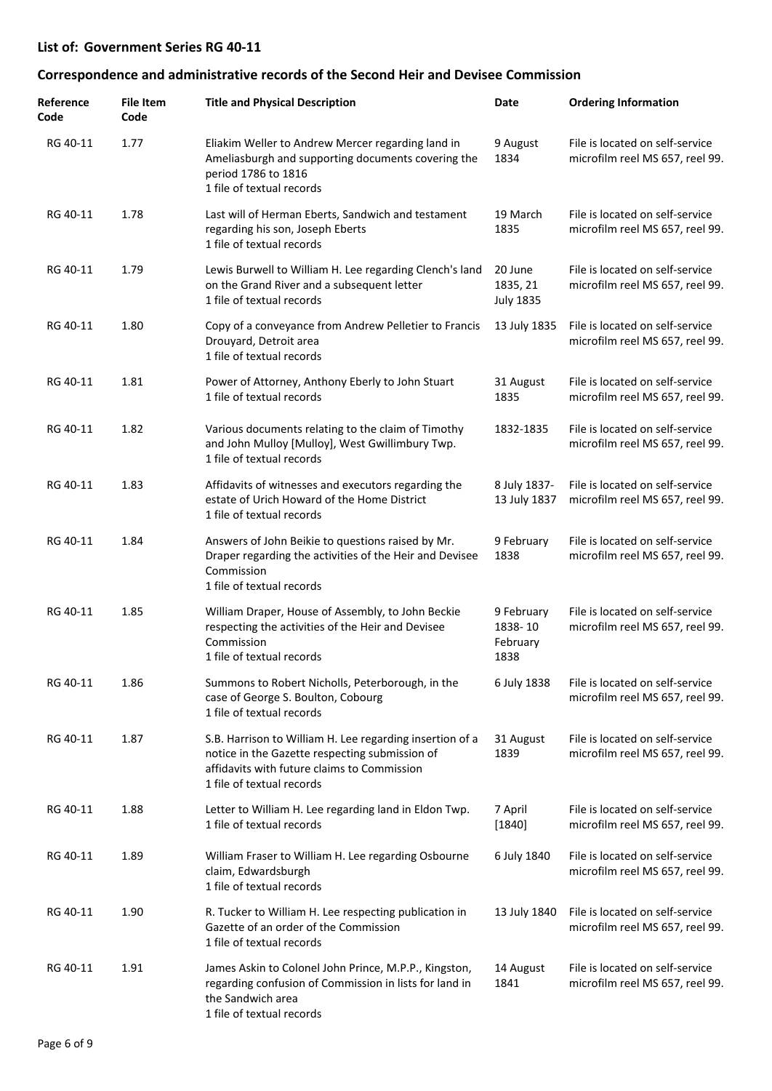| Reference<br>Code | File Item<br>Code | <b>Title and Physical Description</b>                                                                                                                                                  | Date                                      | <b>Ordering Information</b>                                        |
|-------------------|-------------------|----------------------------------------------------------------------------------------------------------------------------------------------------------------------------------------|-------------------------------------------|--------------------------------------------------------------------|
| RG 40-11          | 1.77              | Eliakim Weller to Andrew Mercer regarding land in<br>Ameliasburgh and supporting documents covering the<br>period 1786 to 1816<br>1 file of textual records                            | 9 August<br>1834                          | File is located on self-service<br>microfilm reel MS 657, reel 99. |
| RG 40-11          | 1.78              | Last will of Herman Eberts, Sandwich and testament<br>regarding his son, Joseph Eberts<br>1 file of textual records                                                                    | 19 March<br>1835                          | File is located on self-service<br>microfilm reel MS 657, reel 99. |
| RG 40-11          | 1.79              | Lewis Burwell to William H. Lee regarding Clench's land<br>on the Grand River and a subsequent letter<br>1 file of textual records                                                     | 20 June<br>1835, 21<br><b>July 1835</b>   | File is located on self-service<br>microfilm reel MS 657, reel 99. |
| RG 40-11          | 1.80              | Copy of a conveyance from Andrew Pelletier to Francis<br>Drouyard, Detroit area<br>1 file of textual records                                                                           | 13 July 1835                              | File is located on self-service<br>microfilm reel MS 657, reel 99. |
| RG 40-11          | 1.81              | Power of Attorney, Anthony Eberly to John Stuart<br>1 file of textual records                                                                                                          | 31 August<br>1835                         | File is located on self-service<br>microfilm reel MS 657, reel 99. |
| RG 40-11          | 1.82              | Various documents relating to the claim of Timothy<br>and John Mulloy [Mulloy], West Gwillimbury Twp.<br>1 file of textual records                                                     | 1832-1835                                 | File is located on self-service<br>microfilm reel MS 657, reel 99. |
| RG 40-11          | 1.83              | Affidavits of witnesses and executors regarding the<br>estate of Urich Howard of the Home District<br>1 file of textual records                                                        | 8 July 1837-<br>13 July 1837              | File is located on self-service<br>microfilm reel MS 657, reel 99. |
| RG 40-11          | 1.84              | Answers of John Beikie to questions raised by Mr.<br>Draper regarding the activities of the Heir and Devisee<br>Commission<br>1 file of textual records                                | 9 February<br>1838                        | File is located on self-service<br>microfilm reel MS 657, reel 99. |
| RG 40-11          | 1.85              | William Draper, House of Assembly, to John Beckie<br>respecting the activities of the Heir and Devisee<br>Commission<br>1 file of textual records                                      | 9 February<br>1838-10<br>February<br>1838 | File is located on self-service<br>microfilm reel MS 657, reel 99. |
| RG 40-11          | 1.86              | Summons to Robert Nicholls, Peterborough, in the<br>case of George S. Boulton, Cobourg<br>1 file of textual records                                                                    | 6 July 1838                               | File is located on self-service<br>microfilm reel MS 657, reel 99. |
| RG 40-11          | 1.87              | S.B. Harrison to William H. Lee regarding insertion of a<br>notice in the Gazette respecting submission of<br>affidavits with future claims to Commission<br>1 file of textual records | 31 August<br>1839                         | File is located on self-service<br>microfilm reel MS 657, reel 99. |
| RG 40-11          | 1.88              | Letter to William H. Lee regarding land in Eldon Twp.<br>1 file of textual records                                                                                                     | 7 April<br>[1840]                         | File is located on self-service<br>microfilm reel MS 657, reel 99. |
| RG 40-11          | 1.89              | William Fraser to William H. Lee regarding Osbourne<br>claim, Edwardsburgh<br>1 file of textual records                                                                                | 6 July 1840                               | File is located on self-service<br>microfilm reel MS 657, reel 99. |
| RG 40-11          | 1.90              | R. Tucker to William H. Lee respecting publication in<br>Gazette of an order of the Commission<br>1 file of textual records                                                            | 13 July 1840                              | File is located on self-service<br>microfilm reel MS 657, reel 99. |
| RG 40-11          | 1.91              | James Askin to Colonel John Prince, M.P.P., Kingston,<br>regarding confusion of Commission in lists for land in<br>the Sandwich area<br>1 file of textual records                      | 14 August<br>1841                         | File is located on self-service<br>microfilm reel MS 657, reel 99. |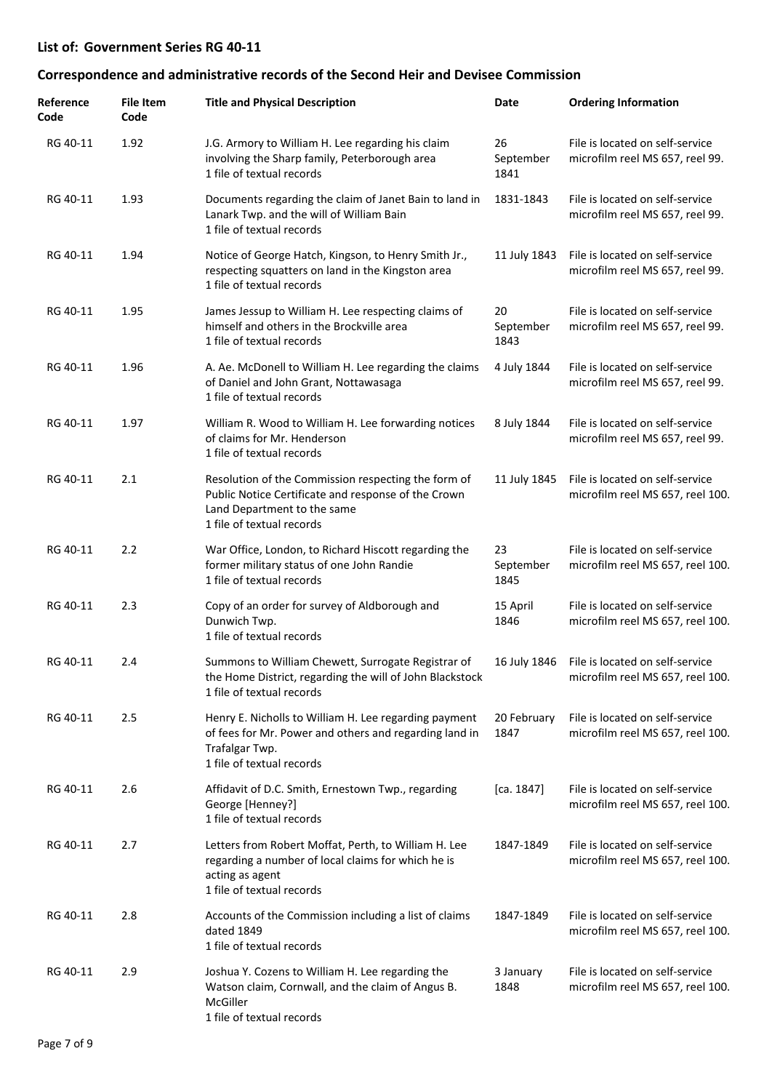| Reference<br>Code | File Item<br>Code | <b>Title and Physical Description</b>                                                                                                                                  | Date                    | <b>Ordering Information</b>                                                      |
|-------------------|-------------------|------------------------------------------------------------------------------------------------------------------------------------------------------------------------|-------------------------|----------------------------------------------------------------------------------|
| RG 40-11          | 1.92              | J.G. Armory to William H. Lee regarding his claim<br>involving the Sharp family, Peterborough area<br>1 file of textual records                                        | 26<br>September<br>1841 | File is located on self-service<br>microfilm reel MS 657, reel 99.               |
| RG 40-11          | 1.93              | Documents regarding the claim of Janet Bain to land in<br>Lanark Twp. and the will of William Bain<br>1 file of textual records                                        | 1831-1843               | File is located on self-service<br>microfilm reel MS 657, reel 99.               |
| RG 40-11          | 1.94              | Notice of George Hatch, Kingson, to Henry Smith Jr.,<br>respecting squatters on land in the Kingston area<br>1 file of textual records                                 | 11 July 1843            | File is located on self-service<br>microfilm reel MS 657, reel 99.               |
| RG 40-11          | 1.95              | James Jessup to William H. Lee respecting claims of<br>himself and others in the Brockville area<br>1 file of textual records                                          | 20<br>September<br>1843 | File is located on self-service<br>microfilm reel MS 657, reel 99.               |
| RG 40-11          | 1.96              | A. Ae. McDonell to William H. Lee regarding the claims<br>of Daniel and John Grant, Nottawasaga<br>1 file of textual records                                           | 4 July 1844             | File is located on self-service<br>microfilm reel MS 657, reel 99.               |
| RG 40-11          | 1.97              | William R. Wood to William H. Lee forwarding notices<br>of claims for Mr. Henderson<br>1 file of textual records                                                       | 8 July 1844             | File is located on self-service<br>microfilm reel MS 657, reel 99.               |
| RG 40-11          | 2.1               | Resolution of the Commission respecting the form of<br>Public Notice Certificate and response of the Crown<br>Land Department to the same<br>1 file of textual records | 11 July 1845            | File is located on self-service<br>microfilm reel MS 657, reel 100.              |
| RG 40-11          | 2.2               | War Office, London, to Richard Hiscott regarding the<br>former military status of one John Randie<br>1 file of textual records                                         | 23<br>September<br>1845 | File is located on self-service<br>microfilm reel MS 657, reel 100.              |
| RG 40-11          | 2.3               | Copy of an order for survey of Aldborough and<br>Dunwich Twp.<br>1 file of textual records                                                                             | 15 April<br>1846        | File is located on self-service<br>microfilm reel MS 657, reel 100.              |
| RG 40-11          | 2.4               | Summons to William Chewett, Surrogate Registrar of<br>the Home District, regarding the will of John Blackstock<br>1 file of textual records                            |                         | 16 July 1846 File is located on self-service<br>microfilm reel MS 657, reel 100. |
| RG 40-11          | 2.5               | Henry E. Nicholls to William H. Lee regarding payment<br>of fees for Mr. Power and others and regarding land in<br>Trafalgar Twp.<br>1 file of textual records         | 20 February<br>1847     | File is located on self-service<br>microfilm reel MS 657, reel 100.              |
| RG 40-11          | 2.6               | Affidavit of D.C. Smith, Ernestown Twp., regarding<br>George [Henney?]<br>1 file of textual records                                                                    | [ca. 1847]              | File is located on self-service<br>microfilm reel MS 657, reel 100.              |
| RG 40-11          | 2.7               | Letters from Robert Moffat, Perth, to William H. Lee<br>regarding a number of local claims for which he is<br>acting as agent<br>1 file of textual records             | 1847-1849               | File is located on self-service<br>microfilm reel MS 657, reel 100.              |
| RG 40-11          | 2.8               | Accounts of the Commission including a list of claims<br>dated 1849<br>1 file of textual records                                                                       | 1847-1849               | File is located on self-service<br>microfilm reel MS 657, reel 100.              |
| RG 40-11          | 2.9               | Joshua Y. Cozens to William H. Lee regarding the<br>Watson claim, Cornwall, and the claim of Angus B.<br>McGiller<br>1 file of textual records                         | 3 January<br>1848       | File is located on self-service<br>microfilm reel MS 657, reel 100.              |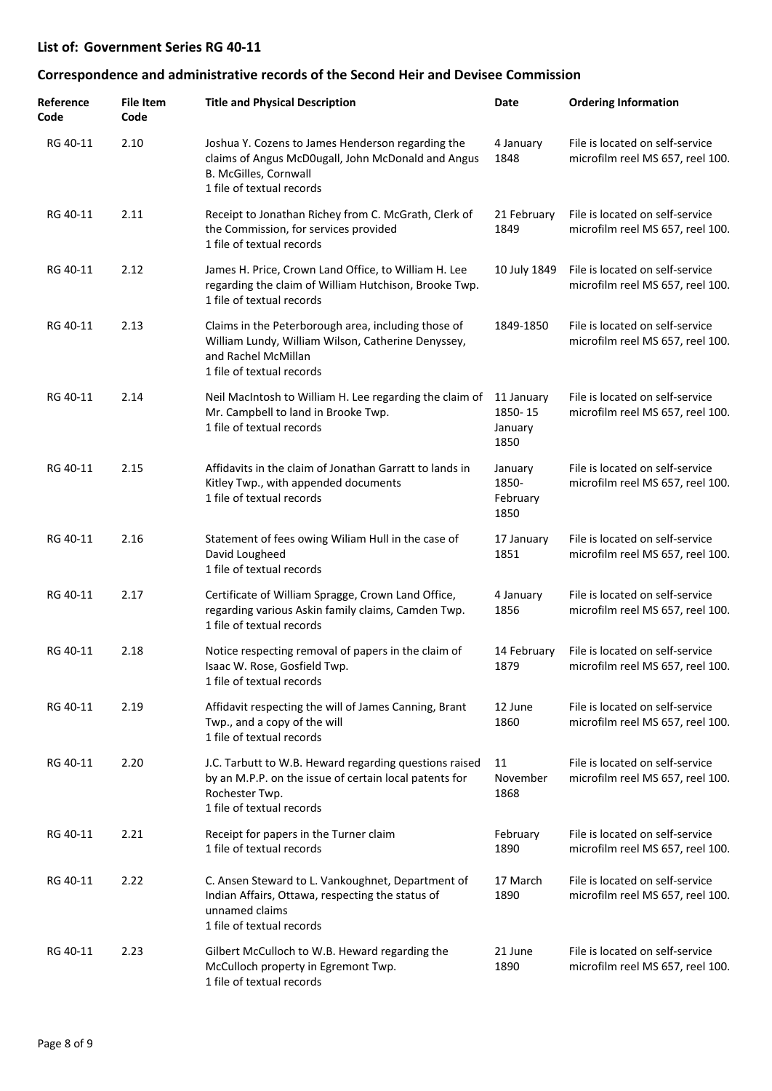| Reference<br>Code | <b>File Item</b><br>Code | <b>Title and Physical Description</b>                                                                                                                           | Date                                     | <b>Ordering Information</b>                                         |
|-------------------|--------------------------|-----------------------------------------------------------------------------------------------------------------------------------------------------------------|------------------------------------------|---------------------------------------------------------------------|
| RG 40-11          | 2.10                     | Joshua Y. Cozens to James Henderson regarding the<br>claims of Angus McD0ugall, John McDonald and Angus<br>B. McGilles, Cornwall<br>1 file of textual records   | 4 January<br>1848                        | File is located on self-service<br>microfilm reel MS 657, reel 100. |
| RG 40-11          | 2.11                     | Receipt to Jonathan Richey from C. McGrath, Clerk of<br>the Commission, for services provided<br>1 file of textual records                                      | 21 February<br>1849                      | File is located on self-service<br>microfilm reel MS 657, reel 100. |
| RG 40-11          | 2.12                     | James H. Price, Crown Land Office, to William H. Lee<br>regarding the claim of William Hutchison, Brooke Twp.<br>1 file of textual records                      | 10 July 1849                             | File is located on self-service<br>microfilm reel MS 657, reel 100. |
| RG 40-11          | 2.13                     | Claims in the Peterborough area, including those of<br>William Lundy, William Wilson, Catherine Denyssey,<br>and Rachel McMillan<br>1 file of textual records   | 1849-1850                                | File is located on self-service<br>microfilm reel MS 657, reel 100. |
| RG 40-11          | 2.14                     | Neil MacIntosh to William H. Lee regarding the claim of<br>Mr. Campbell to land in Brooke Twp.<br>1 file of textual records                                     | 11 January<br>1850-15<br>January<br>1850 | File is located on self-service<br>microfilm reel MS 657, reel 100. |
| RG 40-11          | 2.15                     | Affidavits in the claim of Jonathan Garratt to lands in<br>Kitley Twp., with appended documents<br>1 file of textual records                                    | January<br>1850-<br>February<br>1850     | File is located on self-service<br>microfilm reel MS 657, reel 100. |
| RG 40-11          | 2.16                     | Statement of fees owing Wiliam Hull in the case of<br>David Lougheed<br>1 file of textual records                                                               | 17 January<br>1851                       | File is located on self-service<br>microfilm reel MS 657, reel 100. |
| RG 40-11          | 2.17                     | Certificate of William Spragge, Crown Land Office,<br>regarding various Askin family claims, Camden Twp.<br>1 file of textual records                           | 4 January<br>1856                        | File is located on self-service<br>microfilm reel MS 657, reel 100. |
| RG 40-11          | 2.18                     | Notice respecting removal of papers in the claim of<br>Isaac W. Rose, Gosfield Twp.<br>1 file of textual records                                                | 14 February<br>1879                      | File is located on self-service<br>microfilm reel MS 657, reel 100. |
| RG 40-11          | 2.19                     | Affidavit respecting the will of James Canning, Brant<br>Twp., and a copy of the will<br>1 file of textual records                                              | 12 June<br>1860                          | File is located on self-service<br>microfilm reel MS 657, reel 100. |
| RG 40-11          | 2.20                     | J.C. Tarbutt to W.B. Heward regarding questions raised<br>by an M.P.P. on the issue of certain local patents for<br>Rochester Twp.<br>1 file of textual records | 11<br>November<br>1868                   | File is located on self-service<br>microfilm reel MS 657, reel 100. |
| RG 40-11          | 2.21                     | Receipt for papers in the Turner claim<br>1 file of textual records                                                                                             | February<br>1890                         | File is located on self-service<br>microfilm reel MS 657, reel 100. |
| RG 40-11          | 2.22                     | C. Ansen Steward to L. Vankoughnet, Department of<br>Indian Affairs, Ottawa, respecting the status of<br>unnamed claims<br>1 file of textual records            | 17 March<br>1890                         | File is located on self-service<br>microfilm reel MS 657, reel 100. |
| RG 40-11          | 2.23                     | Gilbert McCulloch to W.B. Heward regarding the<br>McCulloch property in Egremont Twp.<br>1 file of textual records                                              | 21 June<br>1890                          | File is located on self-service<br>microfilm reel MS 657, reel 100. |